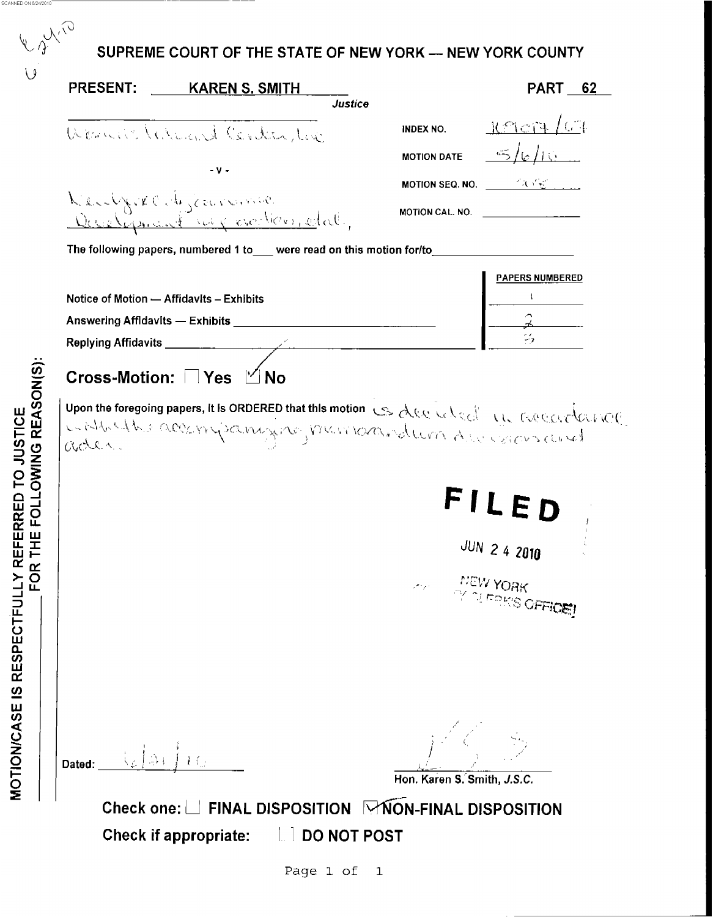<span id="page-0-0"></span>

| PRESENT: | <u>KAREN S. SMITH</u><br>Justice                                                                                     |                                                             | <b>PART</b><br>62       |
|----------|----------------------------------------------------------------------------------------------------------------------|-------------------------------------------------------------|-------------------------|
|          | Wernichterend Contention                                                                                             | <b>INDEX NO.</b>                                            | Reag /64                |
|          |                                                                                                                      | <b>MOTION DATE</b>                                          | 5/6/15                  |
|          | - v -                                                                                                                | <b>MOTION SEQ. NO.</b> $\qquad \qquad \qquad \qquad \qquad$ |                         |
|          | Kenlyrkenbykermanne                                                                                                  | MOTION CAL. NO. $\qquad \qquad$                             |                         |
|          | The following papers, numbered 1 to_ were read on this motion for/to_                                                |                                                             |                         |
|          |                                                                                                                      |                                                             | <b>PAPERS NUMBERED</b>  |
|          | Notice of Motion - Affidavits - Exhibits                                                                             |                                                             |                         |
|          | Answering Affidavits - Exhibits   Manual Manual Manual Manual Manual Manual Manual Manual Manual Manual Manual       |                                                             |                         |
|          |                                                                                                                      |                                                             |                         |
|          | Cross-Motion: □ Yes □ No<br>upon the foregoing papers, it is ORDERED that this motion is deed alone in a coedardance |                                                             |                         |
|          |                                                                                                                      |                                                             | <b>JUN 2 4 2010</b>     |
|          |                                                                                                                      | NEW YORK<br>المراد والمحر                                   | <b>DI FRIKS OFFICE!</b> |

Page 1 of  $\mathbf{1}$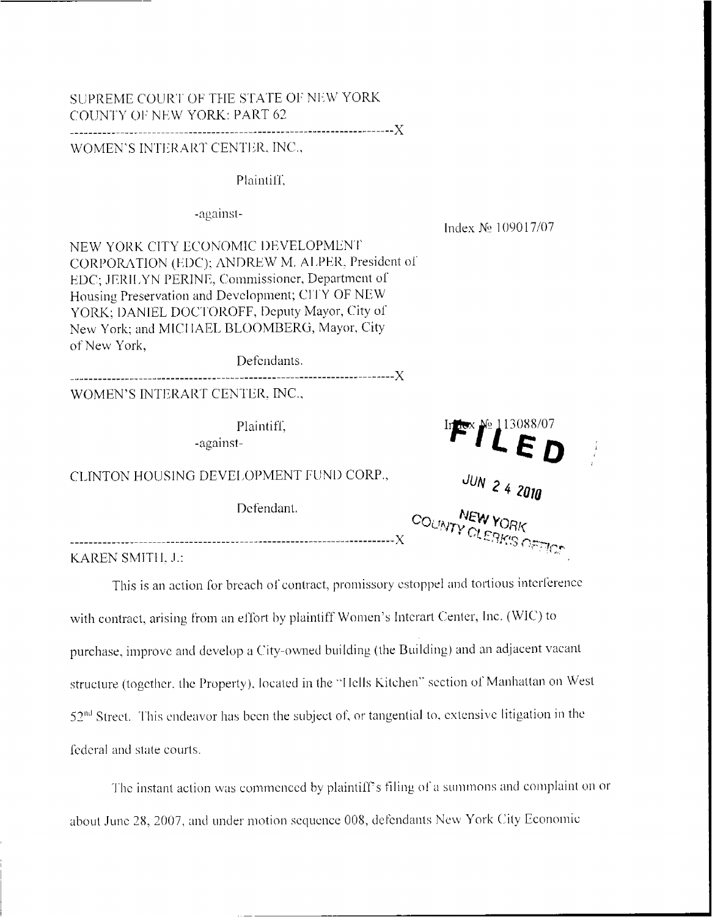## SUPREME COURT OF THE STATE OF NEW YORK COUNTY OF NEW YORK: PART 62

## WOMEN'S INTERART CENTER, INC.,

## Plaintiff.

## -against-

Index Nº 109017/07

NEW YORK CITY ECONOMIC DEVELOPMENT CORPORATION (EDC); ANDREW M. ALPER, President of EDC; JERILYN PERINE, Commissioner, Department of Housing Preservation and Development, CITY OF NEW YORK: DANIEL DOCTOROFF, Deputy Mayor, City of New York; and MICHAEL BLOOMBERG, Mayor, City of New York.

Defendants.

WOMEN'S INTERART CENTER, INC.,

Plaintiff.

-against-

CLINTON HOUSING DEVELOPMENT FUND CORP.,

Defendant.



KAREN SMITH, J.:

This is an action for breach of contract, promissory estoppel and tortious interference with contract, arising from an effort by plaintiff Women's Interart Center, Inc. (WIC) to purchase, improve and develop a City-owned building (the Building) and an adjacent vacant structure (together, the Property), located in the "Hells Kitchen" section of Manhattan on West  $52<sup>nd</sup>$  Street. This endeavor has been the subject of, or tangential to, extensive litigation in the federal and state courts.

The instant action was commenced by plaintiff's filing of a summons and complaint on or about June 28, 2007, and under motion sequence 008, defendants New York City Economic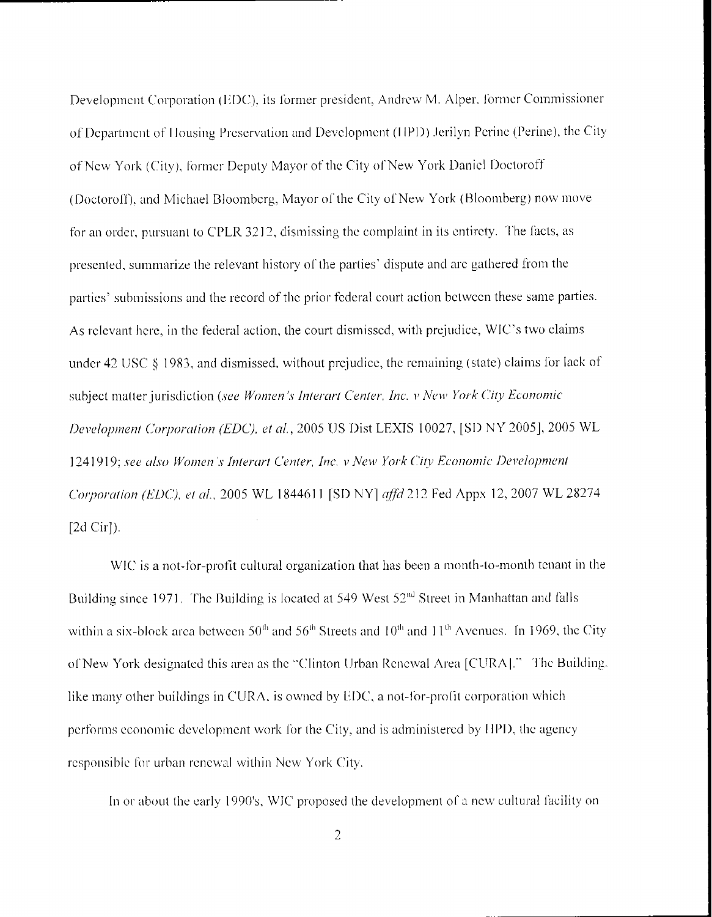Development Corporation (EDC), its former president, Andrew M. Alper, former Commissioner of Department of Housing Preservation and Development (HPD) Jerilyn Perine (Perine), the City of New York (City), former Deputy Mayor of the City of New York Daniel Doctoroff (Doctoroff), and Michael Bloomberg, Mayor of the City of New York (Bloomberg) now move for an order, pursuant to CPLR 3212, dismissing the complaint in its entirety. The facts, as presented, summarize the relevant history of the parties' dispute and are gathered from the parties' submissions and the record of the prior federal court action between these same parties. As relevant here, in the federal action, the court dismissed, with prejudice, WIC's two claims under  $42 \text{ USC} \$  1983, and dismissed, without prejudice, the remaining (state) claims for lack of subject matter jurisdiction (see Women's Interart Center, Inc. v New York City Economic Development Corporation (EDC), et al., 2005 US Dist LEXIS 10027, [SD NY 2005], 2005 WL 1241919; see also Women's Interart Center, Inc. v New York City Economic Development Corporation (EDC), et al., 2005 WL 1844611 [SD NY] affd 212 Fed Appx 12, 2007 WL 28274  $[2d Cir]$ ).

WIC is a not-for-profit cultural organization that has been a month-to-month tenant in the Building since 1971. The Building is located at 549 West 52<sup>nd</sup> Street in Manhattan and falls within a six-block area between  $50<sup>th</sup>$  and  $56<sup>th</sup>$  Streets and  $10<sup>th</sup>$  and  $11<sup>th</sup>$  Avenues. In 1969, the City of New York designated this area as the "Clinton Urban Renewal Area [CURA]." The Building. like many other buildings in CURA, is owned by EDC, a not-for-profit corporation which performs economic development work for the City, and is administered by HPD, the agency responsible for urban renewal within New York City.

In or about the early 1990's, WIC proposed the development of a new cultural facility on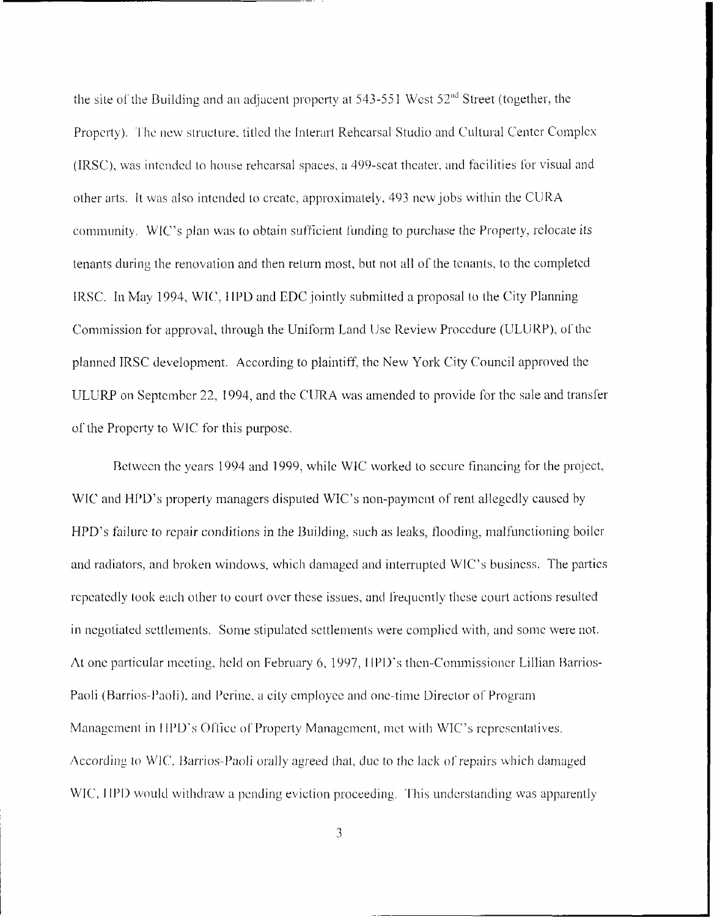the site of the Building and an adjacent property at  $543-551$  West  $52<sup>nd</sup>$  Street (together, the Property). The new structure, titled the Interart Rehearsal Studio and Cultural Center Complex (IRSC), was intended to house rehearsal spaces, a 499-seat theater, and facilities for visual and other arts. It was also intended to create, approximately, 493 new jobs within the CURA community. WIC's plan was to obtain sufficient funding to purchase the Property, relocate its tenants during the renovation and then return most, but not all of the tenants, to the completed IRSC. In May 1994, WIC, HPD and EDC jointly submitted a proposal to the City Planning Commission for approval, through the Uniform Land Use Review Procedure (ULURP), of the planned IRSC development. According to plaintiff, the New York City Council approved the ULURP on September 22, 1994, and the CURA was amended to provide for the sale and transfer of the Property to WIC for this purpose.

Between the years 1994 and 1999, while WIC worked to secure financing for the project, WIC and HPD's property managers disputed WIC's non-payment of rent allegedly caused by HPD's failure to repair conditions in the Building, such as leaks, flooding, malfunctioning boiler and radiators, and broken windows, which damaged and interrupted WIC's business. The parties repeatedly took each other to court over these issues, and frequently these court actions resulted in negotiated settlements. Some stipulated settlements were complied with, and some were not. At one particular meeting, held on February 6, 1997, HPD's then-Commissioner Lillian Barrios-Paoli (Barrios-Paoli), and Perine, a city employee and one-time Director of Program Management in HPD's Office of Property Management, met with WIC's representatives. According to WIC, Barrios-Paoli orally agreed that, due to the lack of repairs which damaged WIC, HPD would withdraw a pending eviction proceeding. This understanding was apparently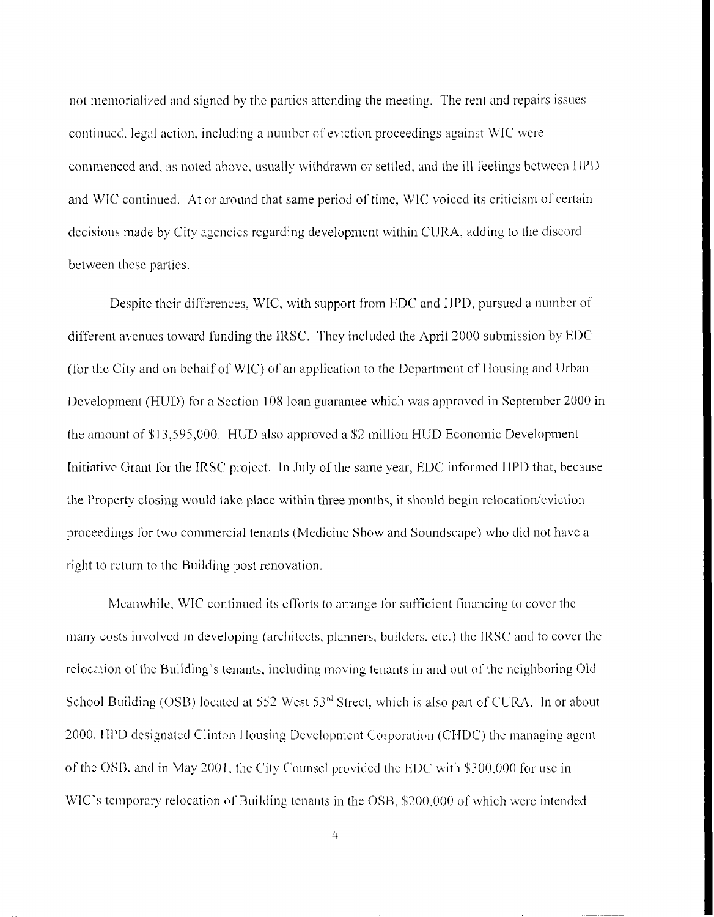not memorialized and signed by the partics attending the meeting. The rent and repairs issues continued, legal action, including a number of eviction proceedings against WIC were commenced and, as noted above, usually withdrawn or settled, and the ill feelings between HPD and WIC continued. At or around that same period of time, WIC voiced its criticism of certain decisions made by City agencies regarding development within CURA, adding to the discord between these parties.

Despite their differences, WIC, with support from EDC and HPD, pursued a number of different avenues toward funding the IRSC. They included the April 2000 submission by EDC (for the City and on behalf of WIC) of an application to the Department of Housing and Urban Development (HUD) for a Section 108 loan guarantee which was approved in September 2000 in the amount of \$13,595,000. HUD also approved a \$2 million HUD Economic Development Initiative Grant for the IRSC project. In July of the same year, EDC informed HPD that, because the Property closing would take place within three months, it should begin relocation/eviction proceedings for two commercial tenants (Medicine Show and Soundscape) who did not have a right to return to the Building post renovation.

Meanwhile, WIC continued its efforts to arrange for sufficient financing to cover the many costs involved in developing (architects, planners, builders, etc.) the IRSC and to cover the relocation of the Building's tenants, including moving tenants in and out of the neighboring Old School Building (OSB) located at 552 West 53<sup>rd</sup> Street, which is also part of CURA. In or about 2000, HPD designated Clinton Housing Development Corporation (CHDC) the managing agent of the OSB, and in May 2001, the City Counsel provided the EDC with \$300,000 for use in WIC's temporary relocation of Building tenants in the OSB, \$200,000 of which were intended

 $\overline{4}$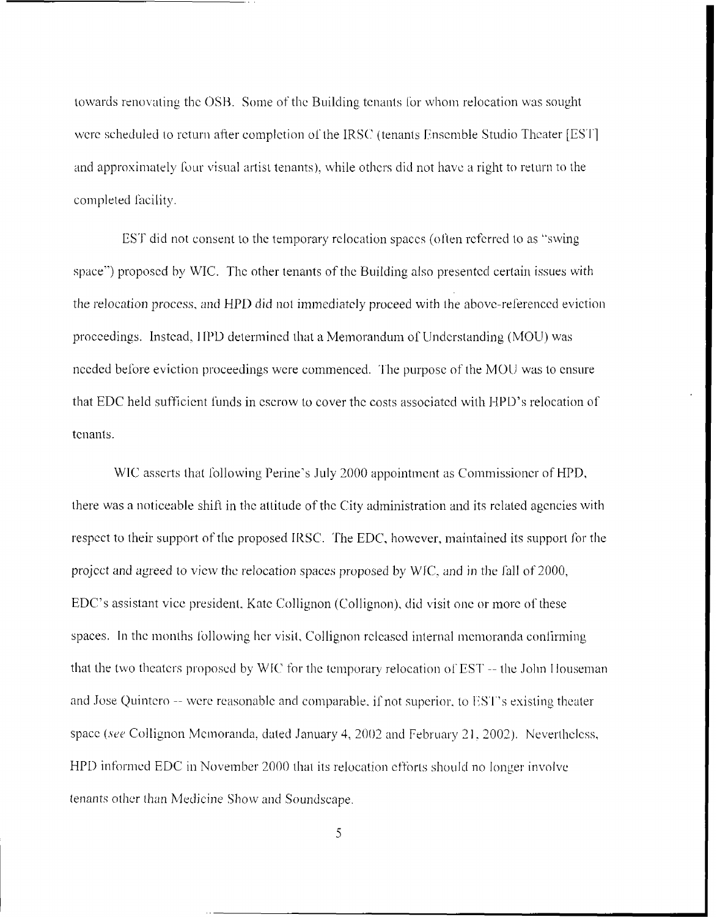towards renovating the OSB. Some of the Building tenants for whom relocation was sought were scheduled to return after completion of the IRSC (tenants Ensemble Studio Theater [EST] and approximately four visual artist tenants), while others did not have a right to return to the completed facility.

EST did not consent to the temporary relocation spaces (often referred to as "swing") space") proposed by WIC. The other tenants of the Building also presented certain issues with the relocation process, and HPD did not immediately proceed with the above-referenced eviction proceedings. Instead, HPD determined that a Memorandum of Understanding (MOU) was needed before eviction proceedings were commenced. The purpose of the MOU was to ensure that EDC held sufficient funds in escrow to cover the costs associated with HPD's relocation of tenants.

WIC asserts that following Perine's July 2000 appointment as Commissioner of HPD, there was a noticeable shift in the attitude of the City administration and its related agencies with respect to their support of the proposed IRSC. The EDC, however, maintained its support for the project and agreed to view the relocation spaces proposed by WIC, and in the fall of 2000, EDC's assistant vice president, Kate Collignon (Collignon), did visit one or more of these spaces. In the months following her visit, Collignon released internal memoranda confirming that the two theaters proposed by WIC for the temporary relocation of EST -- the John Houseman and Jose Quintero -- were reasonable and comparable, if not superior, to EST's existing theater space (see Collignon Memoranda, dated January 4, 2002 and February 21, 2002). Nevertheless, HPD informed EDC in November 2000 that its relocation efforts should no longer involve tenants other than Medicine Show and Soundscape.

5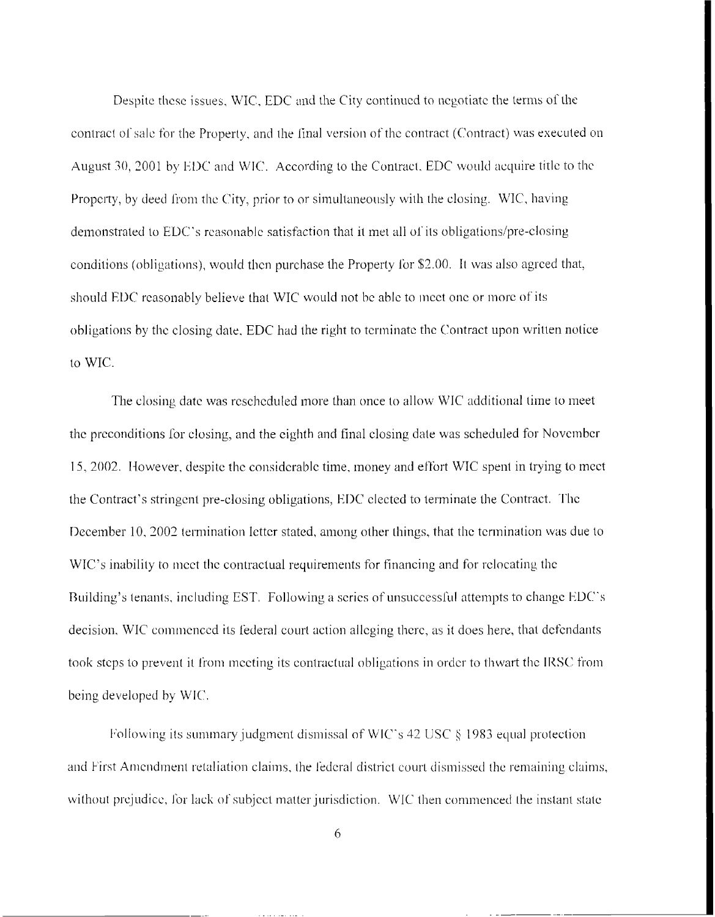<span id="page-6-0"></span>Despite these issues. WIC, EDC and the City continued to negotiate the terms of the contract of sale for the Property, and the final version of the contract (Contract) was executed on August 30, 2001 by EDC and WIC. According to the Contract, EDC would acquire title to the Property, by deed from the City, prior to or simultaneously with the closing. WIC, having demonstrated to EDC's reasonable satisfaction that it met all of its obligations/pre-closing conditions (obligations), would then purchase the Property for \$2.00. It was also agreed that, should EDC reasonably believe that WIC would not be able to meet one or more of its obligations by the closing date, EDC had the right to terminate the Contract upon written notice to WIC.

The closing date was rescheduled more than once to allow WIC additional time to meet the preconditions for closing, and the eighth and final closing date was scheduled for November 15, 2002. However, despite the considerable time, money and effort WIC spent in trying to meet the Contract's stringent pre-closing obligations, EDC elected to terminate the Contract. The December 10, 2002 termination letter stated, among other things, that the termination was due to WIC's inability to meet the contractual requirements for financing and for relocating the Building's tenants, including EST. Following a series of unsuccessful attempts to change EDC's decision, WIC commenced its federal court action alleging there, as it does here, that defendants took steps to prevent it from meeting its contractual obligations in order to thwart the IRSC from being developed by WIC.

Following its summary judgment dismissal of WIC's 42 USC § 1983 equal protection and First Amendment retaliation claims, the federal district court dismissed the remaining claims, without prejudice, for lack of subject matter jurisdiction. WIC then commenced the instant state

6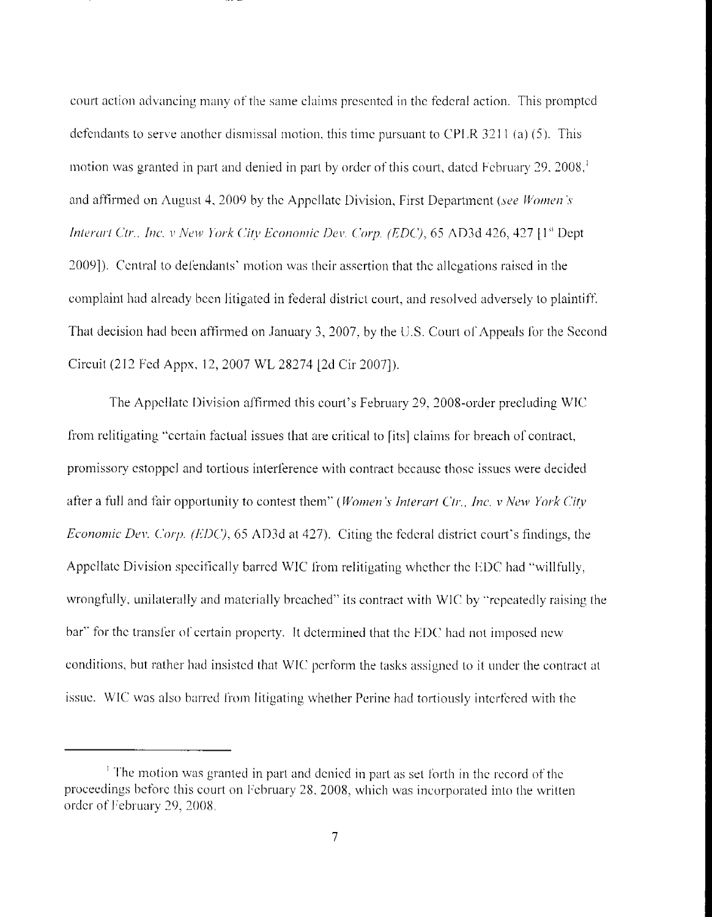court action advancing many of the same claims presented in the federal action. This prompted defendants to serve another dismissal motion, this time pursuant to CPLR 3211 (a) (5). This motion was granted in part and denied in part by order of this court, dated February 29, 2008,<sup>1</sup> and affirmed on August 4, 2009 by the Appellate Division, First Department (see Women's Interart Ctr., Inc. v New York City Economic Dev. Corp. (EDC), 65 AD3d 426, 427 [1st Dept. 2009]). Central to defendants' motion was their assertion that the allegations raised in the complaint had already been litigated in federal district court, and resolved adversely to plaintiff. That decision had been affirmed on January 3, 2007, by the U.S. Court of Appeals for the Second Circuit (212 Fed Appx, 12, 2007 WL 28274 [2d Cir 2007]).

The Appellate Division affirmed this court's February 29, 2008-order precluding WIC from relitigating "certain factual issues that are critical to fits) claims for breach of contract, promissory estoppel and tortious interference with contract because those issues were decided after a full and fair opportunity to contest them" (Women's Interart Ctr., Inc. v New York City Economic Dev. Corp. (EDC), 65 AD3d at 427). Citing the federal district court's findings, the Appellate Division specifically barred WIC from relitigating whether the EDC had "willfully, wrongfully, unilaterally and materially breached" its contract with WIC by "repeatedly raising the bar" for the transfer of certain property. It determined that the EDC had not imposed new conditions, but rather had insisted that WIC perform the tasks assigned to it under the contract at issue. WIC was also barred from litigating whether Perine had tortiously interfered with the

<sup>&</sup>lt;sup>1</sup> The motion was granted in part and denied in part as set forth in the record of the proceedings before this court on February 28, 2008, which was incorporated into the written order of February 29, 2008.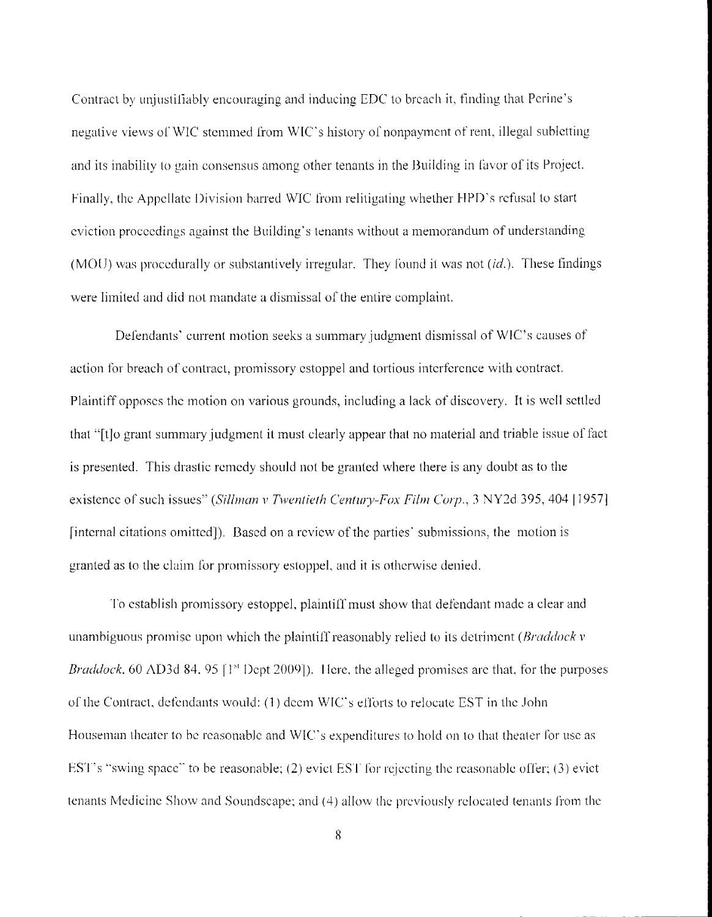Contract by unjustifiably encouraging and inducing EDC to breach it, finding that Perine's negative views of WIC stemmed from WIC's history of nonpayment of rent, illegal subletting and its inability to gain consensus among other tenants in the Building in favor of its Project. Finally, the Appellate Division barred WIC from relitigating whether HPD's refusal to start eviction proceedings against the Building's tenants without a memorandum of understanding (MOU) was procedurally or substantively irregular. They found it was not  $(id)$ . These findings were limited and did not mandate a dismissal of the entire complaint.

Defendants' current motion seeks a summary judgment dismissal of WIC's causes of action for breach of contract, promissory estoppel and tortious interference with contract. Plaintiff opposes the motion on various grounds, including a lack of discovery. It is well settled that "[t]o grant summary judgment it must clearly appear that no material and triable issue of fact is presented. This drastic remedy should not be granted where there is any doubt as to the existence of such issues" (Sillman v Twentieth Century-Fox Film Corp., 3 NY2d 395, 404 [1957] [internal citations omitted]). Based on a review of the parties' submissions, the motion is granted as to the claim for promissory estoppel, and it is otherwise denied.

To establish promissory estoppel, plaintiff must show that defendant made a clear and unambiguous promise upon which the plaintiff reasonably relied to its detriment (*Braddock v Braddock*, 60 AD3d 84, 95 [ $1<sup>st</sup>$  Dept 2009]). Here, the alleged promises are that, for the purposes of the Contract, defendants would: (1) deem WIC's efforts to relocate EST in the John Houseman theater to be reasonable and WIC's expenditures to hold on to that theater for use as EST's "swing space" to be reasonable; (2) evict EST for rejecting the reasonable offer; (3) evict tenants Medicine Show and Soundscape; and (4) allow the previously relocated tenants from the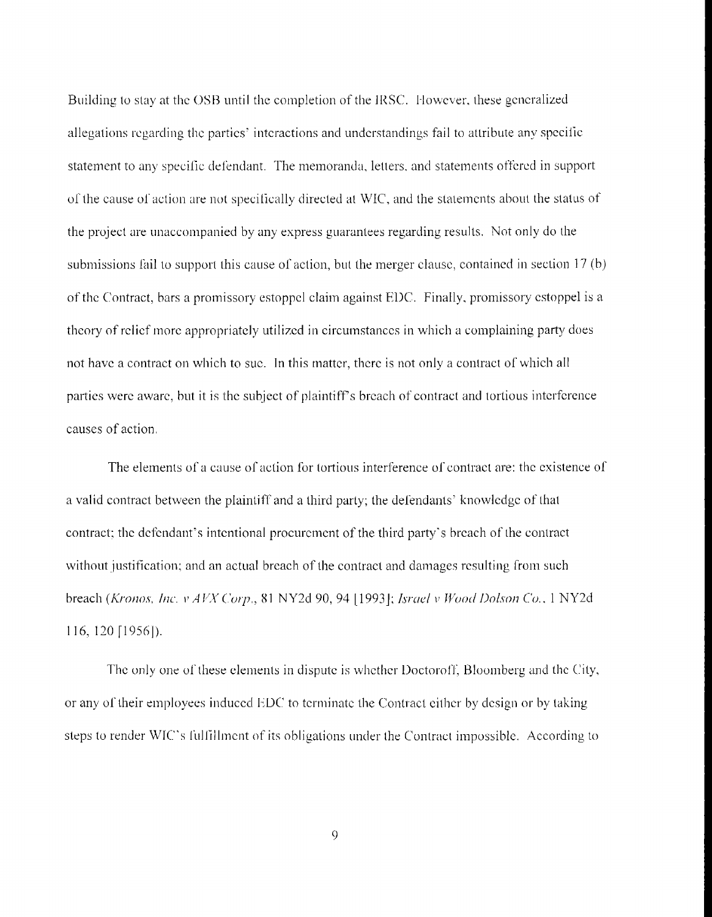Building to stay at the OSB until the completion of the IRSC. However, these generalized allegations regarding the parties' interactions and understandings fail to attribute any specific statement to any specific defendant. The memoranda, letters, and statements offered in support of the cause of action are not specifically directed at WIC, and the statements about the status of the project are unaccompanied by any express guarantees regarding results. Not only do the submissions fail to support this cause of action, but the merger clause, contained in section 17 (b) of the Contract, bars a promissory estoppel claim against EDC. Finally, promissory estoppel is a theory of relief more appropriately utilized in circumstances in which a complaining party does not have a contract on which to sue. In this matter, there is not only a contract of which all parties were aware, but it is the subject of plaintiff's breach of contract and tortious interference causes of action.

The elements of a cause of action for tortious interference of contract are; the existence of a valid contract between the plaintiff and a third party; the defendants' knowledge of that contract; the defendant's intentional procurement of the third party's breach of the contract without justification; and an actual breach of the contract and damages resulting from such breach (Kronos, Inc. v AVX Corp., 81 NY2d 90, 94 [1993]; Israel v Wood Dolson Co., 1 NY2d 116, 120 [1956]).

The only one of these elements in dispute is whether Doctoroff, Bloomberg and the City, or any of their employees induced EDC to terminate the Contract either by design or by taking steps to render WIC's fulfillment of its obligations under the Contract impossible. According to

9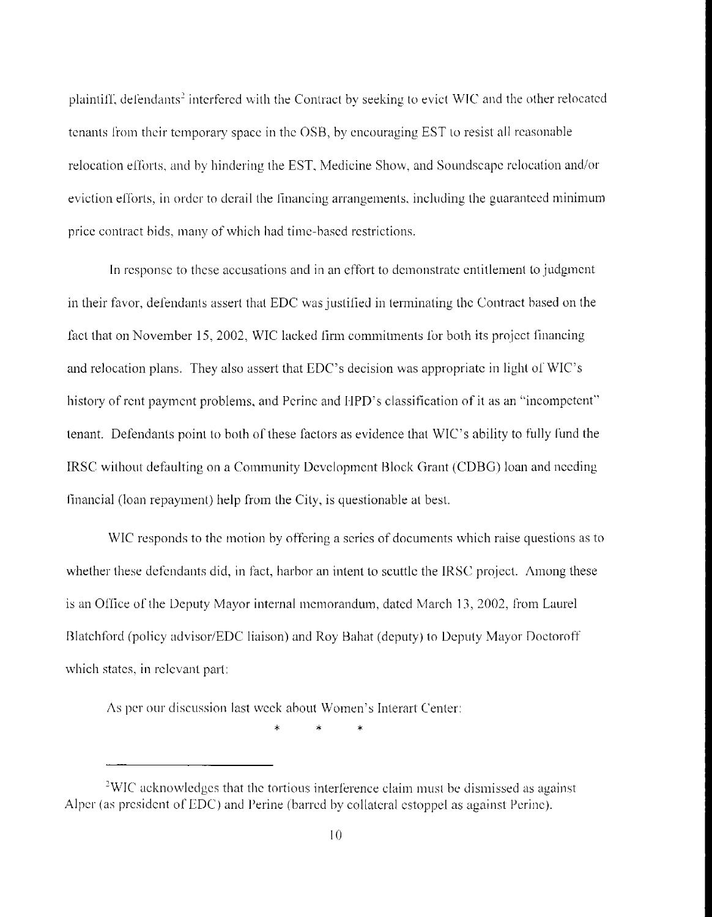plaintiff, defendants<sup>2</sup> interfered with the Contract by seeking to evict WIC and the other relocated tenants from their temporary space in the OSB, by encouraging EST to resist all reasonable relocation efforts, and by hindering the EST, Medicine Show, and Soundscape relocation and/or eviction efforts, in order to derail the financing arrangements, including the guaranteed minimum price contract bids, many of which had time-based restrictions.

In response to these accusations and in an effort to demonstrate entitlement to judgment in their favor, defendants assert that EDC was justified in terminating the Contract based on the fact that on November 15, 2002, WIC lacked firm commitments for both its project financing and relocation plans. They also assert that EDC's decision was appropriate in light of WIC's history of rent payment problems, and Perine and HPD's classification of it as an "incompetent" tenant. Defendants point to both of these factors as evidence that WIC's ability to fully fund the IRSC without defaulting on a Community Development Block Grant (CDBG) loan and needing financial (loan repayment) help from the City, is questionable at best.

WIC responds to the motion by offering a series of documents which raise questions as to whether these defendants did, in fact, harbor an intent to scuttle the IRSC project. Among these is an Office of the Deputy Mayor internal memorandum, dated March 13, 2002, from Laurel Blatchford (policy advisor/EDC liaison) and Roy Bahat (deputy) to Deputy Mayor Doctoroff which states, in relevant part:

As per our discussion last week about Women's Interart Center:

<sup>&</sup>lt;sup>2</sup>WIC acknowledges that the tortious interference claim must be dismissed as against Alper (as president of EDC) and Perine (barred by collateral estoppel as against Perine).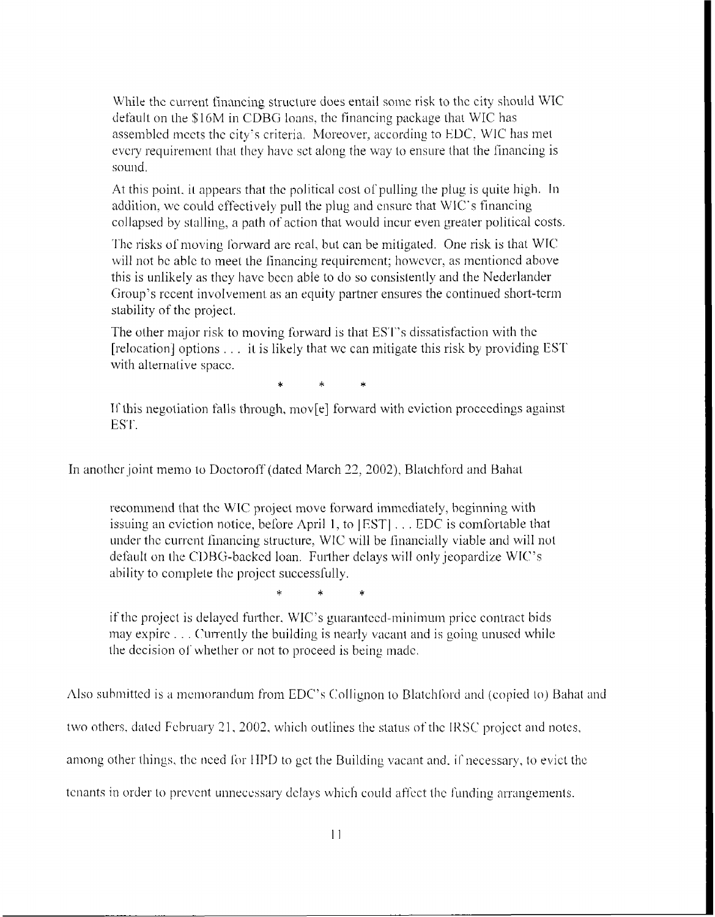<span id="page-11-0"></span>While the current financing structure does entail some risk to the city should WIC default on the \$16M in CDBG loans, the financing package that WIC has assembled meets the city's criteria. Moreover, according to EDC, WIC has met every requirement that they have set along the way to ensure that the financing is sound.

At this point, it appears that the political cost of pulling the plug is quite high. In addition, we could effectively pull the plug and ensure that WIC's financing collapsed by stalling, a path of action that would incur even greater political costs.

The risks of moving forward are real, but can be mitigated. One risk is that WIC will not be able to meet the financing requirement; however, as mentioned above this is unlikely as they have been able to do so consistently and the Nederlander Group's recent involvement as an equity partner ensures the continued short-term stability of the project.

The other major risk to moving forward is that EST's dissatisfaction with the [relocation] options . . . it is likely that we can mitigate this risk by providing EST with alternative space.

If this negotiation falls through, movel forward with eviction proceedings against EST.

In another joint memo to Doctoroff (dated March 22, 2002), Blatchford and Bahat

recommend that the WIC project move forward immediately, beginning with issuing an eviction notice, before April 1, to [EST] . . . EDC is comfortable that under the current financing structure, WIC will be financially viable and will not default on the CDBG-backed loan. Further delays will only jeopardize WIC's ability to complete the project successfully.

if the project is delayed further, WIC's guaranteed-minimum price contract bids may expire . . . Currently the building is nearly vacant and is going unused while the decision of whether or not to proceed is being made.

Also submitted is a memorandum from EDC's Collignon to Blatchford and (copied to) Bahat and

two others, dated February 21, 2002, which outlines the status of the IRSC project and notes,

among other things, the need for HPD to get the Building vacant and, if necessary, to evict the

tenants in order to prevent unnecessary delays which could affect the funding arrangements.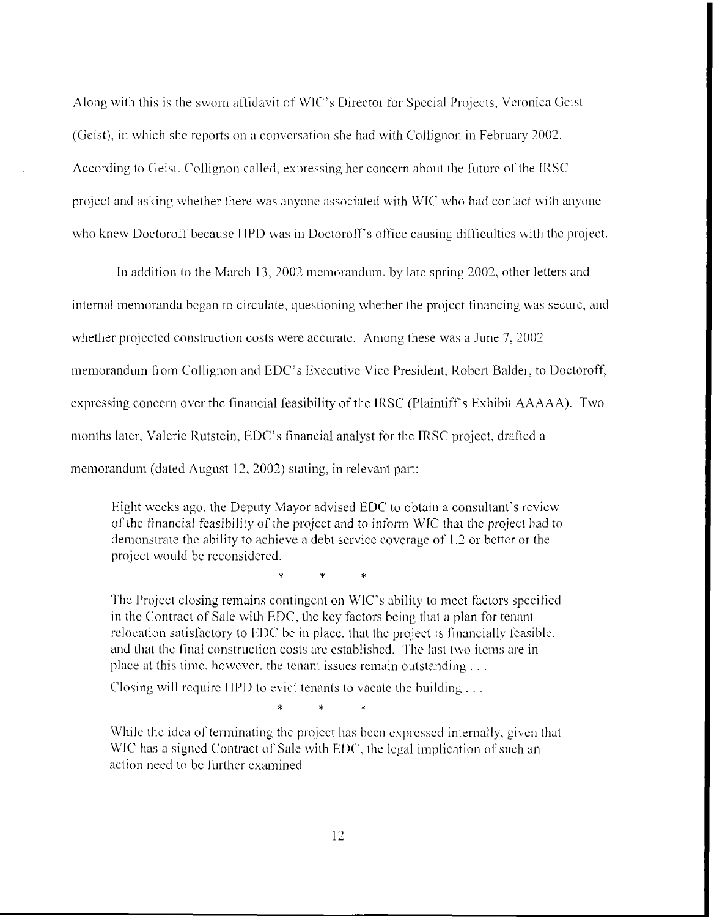Along with this is the sworn affidavit of WIC's Director for Special Projects, Veronica Geist (Geist), in which she reports on a conversation she had with Collignon in February 2002. According to Geist, Collignon called, expressing her concern about the future of the IRSC project and asking whether there was anyone associated with WIC who had contact with anyone who knew Doctoroff because HPD was in Doctoroff's office causing difficulties with the project.

In addition to the March 13, 2002 memorandum, by late spring 2002, other letters and internal memoranda began to circulate, questioning whether the project financing was secure, and whether projected construction costs were accurate. Among these was a June 7, 2002 memorandum from Collignon and EDC's Executive Vice President, Robert Balder, to Doctoroff, expressing concern over the financial feasibility of the IRSC (Plaintiff's Exhibit AAAAA). Two months later, Valerie Rutstein, EDC's financial analyst for the IRSC project, drafted a memorandum (dated August 12, 2002) stating, in relevant part:

Eight weeks ago, the Deputy Mayor advised EDC to obtain a consultant's review of the financial feasibility of the project and to inform WIC that the project had to demonstrate the ability to achieve a debt service coverage of 1.2 or better or the project would be reconsidered.

The Project closing remains contingent on WIC's ability to meet factors specified in the Contract of Sale with EDC, the key factors being that a plan for tenant relocation satisfactory to EDC be in place, that the project is financially feasible, and that the final construction costs are established. The last two items are in place at this time, however, the tenant issues remain outstanding ...

Closing will require HPD to evict tenants to vacate the building ...

.<br>K

While the idea of terminating the project has been expressed internally, given that WIC has a signed Contract of Sale with EDC, the legal implication of such an action need to be further examined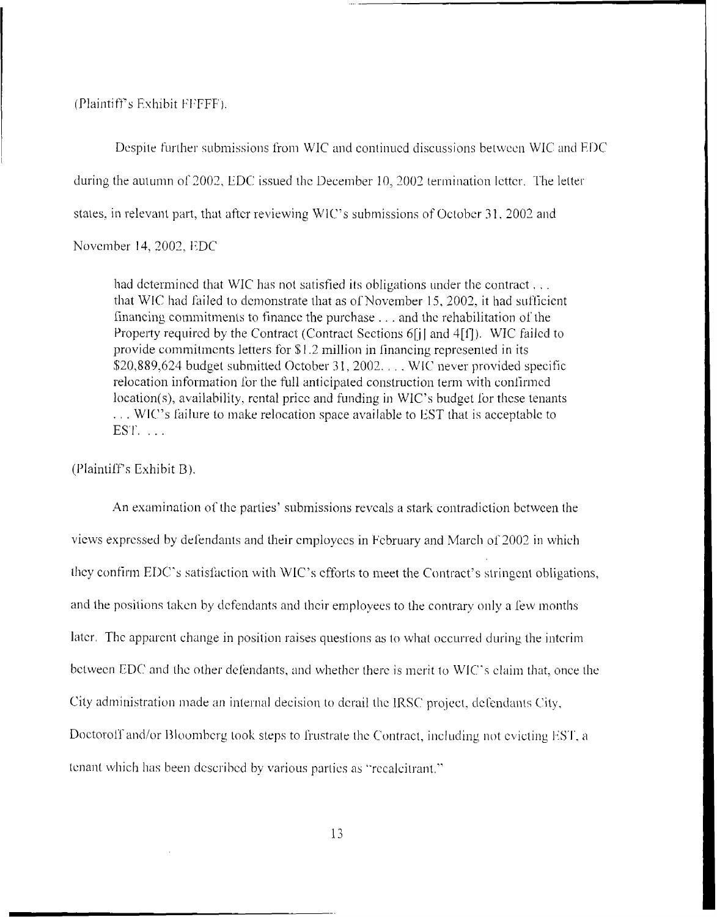(Plaintiff's Exhibit FFFFF).

Despite further submissions from WIC and continued discussions between WIC and EDC during the autumn of 2002, EDC issued the December 10, 2002 termination letter. The letter states, in relevant part, that after reviewing WIC's submissions of October 31, 2002 and

November 14, 2002, EDC

had determined that WIC has not satisfied its obligations under the contract,... that WIC had failed to demonstrate that as of November 15, 2002, it had sufficient financing commitments to finance the purchase . . . and the rehabilitation of the Property required by the Contract (Contract Sections 6[j] and 4[f]). WIC failed to provide commitments letters for \$1.2 million in financing represented in its \$20,889,624 budget submitted October 31, 2002. . . . WIC never provided specific relocation information for the full anticipated construction term with confirmed location(s), availability, rental price and funding in WIC's budget for these tenants ... WIC's failure to make relocation space available to EST that is acceptable to  $EST. \ldots$ 

(Plaintiff's Exhibit B).

An examination of the parties' submissions reveals a stark contradiction between the views expressed by defendants and their employees in February and March of 2002 in which they confirm EDC's satisfaction with WIC's efforts to meet the Contract's stringent obligations, and the positions taken by defendants and their employees to the contrary only a few months later. The apparent change in position raises questions as to what occurred during the interimbetween EDC and the other defendants, and whether there is merit to WIC's claim that, once the City administration made an internal decision to derail the IRSC project, defendants City, Doctoroff and/or Bloomberg took steps to frustrate the Contract, including not evicting EST, a tenant which has been described by various parties as "recalcitrant."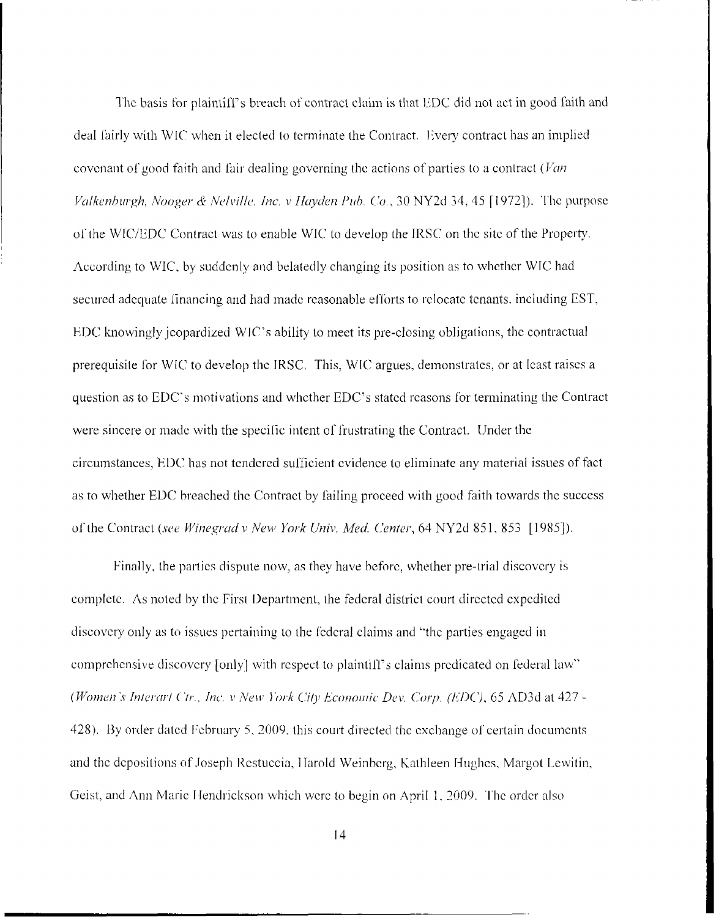The basis for plaintiff's breach of contract claim is that EDC did not act in good faith and deal fairly with WIC when it elected to terminate the Contract. Every contract has an implied covenant of good faith and fair dealing governing the actions of parties to a contract (Van Valkenburgh, Nooger & Nelville, Inc. v Hayden Pub. Co., 30 NY2d 34, 45 [1972]). The purpose of the WIC/EDC Contract was to enable WIC to develop the IRSC on the site of the Property. According to WIC, by suddenly and belatedly changing its position as to whether WIC had secured adequate financing and had made reasonable efforts to relocate tenants, including EST, EDC knowingly icopardized WIC's ability to meet its pre-closing obligations, the contractual prerequisite for WIC to develop the IRSC. This, WIC argues, demonstrates, or at least raises a question as to EDC's motivations and whether EDC's stated reasons for terminating the Contract were sincere or made with the specific intent of frustrating the Contract. Under the circumstances. EDC has not tendered sufficient evidence to eliminate any material issues of fact as to whether EDC breached the Contract by failing proceed with good faith towards the success of the Contract (see Winegrad v New York Univ. Med. Center, 64 NY2d 851, 853 [1985]).

Finally, the parties dispute now, as they have before, whether pre-trial discovery is complete. As noted by the First Department, the federal district court directed expedited discovery only as to issues pertaining to the federal claims and "the parties engaged in comprehensive discovery [only] with respect to plaintiff's claims predicated on federal law" (Women's Interart Ctr., Inc. v New York City Economic Dev. Corp. (EDC), 65 AD3d at 427 -428). By order dated February 5, 2009, this court directed the exchange of certain documents and the depositions of Joseph Restuccia, Harold Weinberg, Kathleen Hughes, Margot Lewitin, Geist, and Ann Marie Hendrickson which were to begin on April 1, 2009. The order also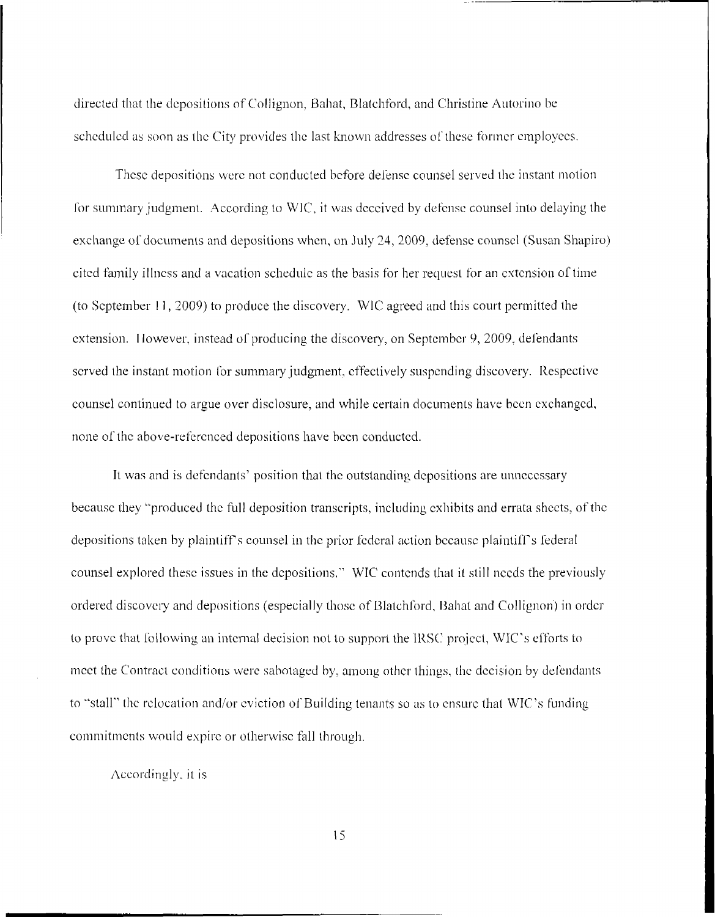directed that the depositions of Collignon, Bahat, Blatchford, and Christine Autorino be scheduled as soon as the City provides the last known addresses of these former employees.

These depositions were not conducted before defense counsel served the instant motion for summary judgment. According to WIC, it was deceived by defense counsel into delaying the exchange of documents and depositions when, on July 24, 2009, defense counsel (Susan Shapiro) cited family illness and a vacation schedule as the basis for her request for an extension of time (to September 11, 2009) to produce the discovery. WIC agreed and this court permitted the extension. However, instead of producing the discovery, on September 9, 2009, defendants served the instant motion for summary judgment, effectively suspending discovery. Respective counsel continued to argue over disclosure, and while certain documents have been exchanged, none of the above-referenced depositions have been conducted.

It was and is defendants' position that the outstanding depositions are unnecessary because they "produced the full deposition transcripts, including exhibits and errata sheets, of the depositions taken by plaintiff's counsel in the prior federal action because plaintiff's federal counsel explored these issues in the depositions." WIC contends that it still needs the previously ordered discovery and depositions (especially those of Blatchford, Bahat and Collignon) in order to prove that following an internal decision not to support the IRSC project, WIC's efforts to meet the Contract conditions were sabotaged by, among other things, the decision by defendants to "stall" the relocation and/or eviction of Building tenants so as to ensure that WIC's funding commitments would expire or otherwise fall through.

Accordingly, it is